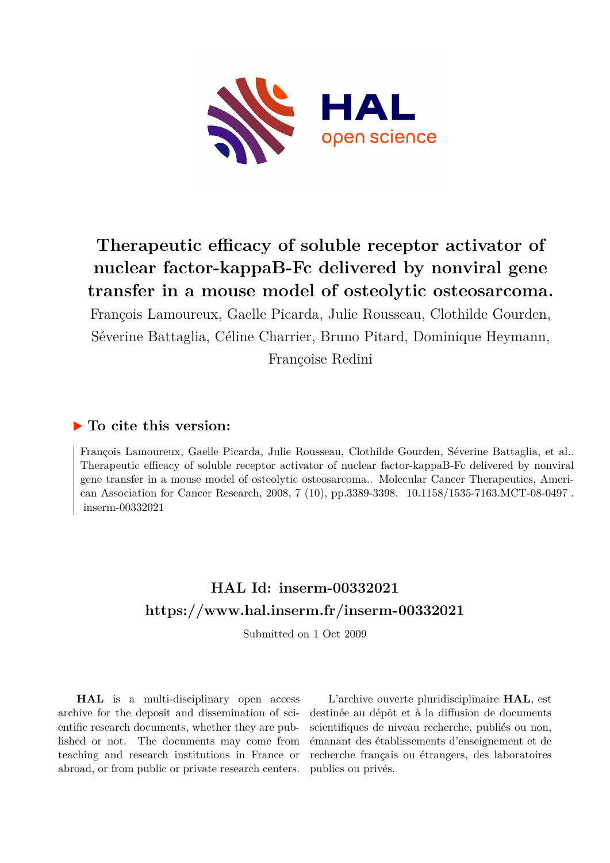

# **Therapeutic efficacy of soluble receptor activator of nuclear factor-kappaB-Fc delivered by nonviral gene transfer in a mouse model of osteolytic osteosarcoma.**

François Lamoureux, Gaelle Picarda, Julie Rousseau, Clothilde Gourden, Séverine Battaglia, Céline Charrier, Bruno Pitard, Dominique Heymann, Françoise Redini

## **To cite this version:**

François Lamoureux, Gaelle Picarda, Julie Rousseau, Clothilde Gourden, Séverine Battaglia, et al.. Therapeutic efficacy of soluble receptor activator of nuclear factor-kappaB-Fc delivered by nonviral gene transfer in a mouse model of osteolytic osteosarcoma.. Molecular Cancer Therapeutics, American Association for Cancer Research, 2008, 7 (10), pp.3389-3398. 10.1158/1535-7163.MCT-08-0497.  $inserm-00332021$ 

## **HAL Id: inserm-00332021 <https://www.hal.inserm.fr/inserm-00332021>**

Submitted on 1 Oct 2009

**HAL** is a multi-disciplinary open access archive for the deposit and dissemination of scientific research documents, whether they are published or not. The documents may come from teaching and research institutions in France or abroad, or from public or private research centers.

L'archive ouverte pluridisciplinaire **HAL**, est destinée au dépôt et à la diffusion de documents scientifiques de niveau recherche, publiés ou non, émanant des établissements d'enseignement et de recherche français ou étrangers, des laboratoires publics ou privés.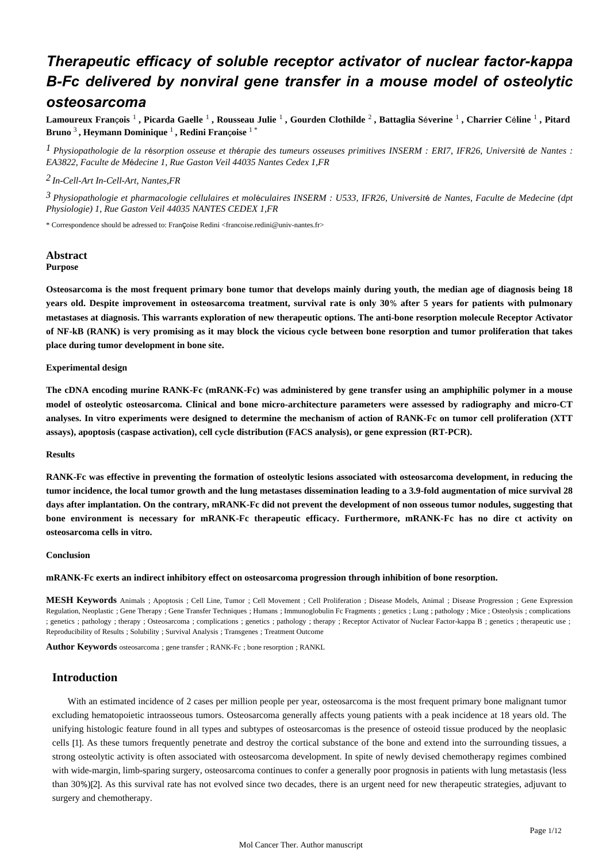## *Therapeutic efficacy of soluble receptor activator of nuclear factor-kappa B-Fc delivered by nonviral gene transfer in a mouse model of osteolytic osteosarcoma*

Lamoureux François <sup>1</sup> , Picarda Gaelle <sup>1</sup> , Rousseau Julie <sup>1</sup> , Gourden Clothilde <sup>2</sup> , Battaglia Séverine <sup>1</sup> , Charrier Céline <sup>1</sup> , Pitard Bruno <sup>3</sup> , Heymann Dominique <sup>1</sup> , Redini Françoise <sup>1 \*</sup>

<sup>1</sup> Physiopathologie de la résorption osseuse et thérapie des tumeurs osseuses primitives INSERM : ERI7, IFR26, Université de Nantes : *EA3822, Faculte de M decine 1, Rue Gaston Veil 44035 Nantes Cedex 1,FR* é

## *In-Cell-Art 2 In-Cell-Art, Nantes,FR*

<sup>3</sup> Physiopathologie et pharmacologie cellulaires et moléculaires INSERM : U533, IFR26, Université de Nantes, Faculte de Medecine (dpt *Physiologie) 1, Rue Gaston Veil 44035 NANTES CEDEX 1,FR*

\* Correspondence should be adressed to: Fran Coise Redini <francoise.redini@univ-nantes.fr>

## **Abstract Purpose**

**Osteosarcoma is the most frequent primary bone tumor that develops mainly during youth, the median age of diagnosis being 18** years old. Despite improvement in osteosarcoma treatment, survival rate is only 30% after 5 years for patients with pulmonary **metastases at diagnosis. This warrants exploration of new therapeutic options. The anti-bone resorption molecule Receptor Activator of NF-kB (RANK) is very promising as it may block the vicious cycle between bone resorption and tumor proliferation that takes place during tumor development in bone site.**

#### **Experimental design**

**The cDNA encoding murine RANK-Fc (mRANK-Fc) was administered by gene transfer using an amphiphilic polymer in a mouse model of osteolytic osteosarcoma. Clinical and bone micro-architecture parameters were assessed by radiography and micro-CT** analyses. In vitro experiments were designed to determine the mechanism of action of RANK-Fc on tumor cell proliferation (XTT **assays), apoptosis (caspase activation), cell cycle distribution (FACS analysis), or gene expression (RT-PCR).**

#### **Results**

**RANK-Fc was effective in preventing the formation of osteolytic lesions associated with osteosarcoma development, in reducing the tumor incidence, the local tumor growth and the lung metastases dissemination leading to a 3.9-fold augmentation of mice survival 28 days after implantation. On the contrary, mRANK-Fc did not prevent the development of non osseous tumor nodules, suggesting that bone environment is necessary for mRANK-Fc therapeutic efficacy. Furthermore, mRANK-Fc has no dire ct activity on osteosarcoma cells . in vitro**

#### **Conclusion**

**mRANK-Fc exerts an indirect inhibitory effect on osteosarcoma progression through inhibition of bone resorption.**

**MESH Keywords** Animals ; Apoptosis ; Cell Line, Tumor ; Cell Movement ; Cell Proliferation ; Disease Models, Animal ; Disease Progression ; Gene Expression Regulation, Neoplastic ; Gene Therapy ; Gene Transfer Techniques ; Humans ; Immunoglobulin Fc Fragments ; genetics ; Lung ; pathology ; Mice ; Osteolysis ; complications ; genetics ; pathology ; therapy ; Osteosarcoma ; complications ; genetics ; pathology ; therapy ; Receptor Activator of Nuclear Factor-kappa B ; genetics ; therapeutic use ; Reproducibility of Results ; Solubility ; Survival Analysis ; Transgenes ; Treatment Outcome

**Author Keywords** osteosarcoma ; gene transfer ; RANK-Fc ; bone resorption ; RANKL

## **Introduction**

With an estimated incidence of 2 cases per million people per year, osteosarcoma is the most frequent primary bone malignant tumor excluding hematopoietic intraosseous tumors. Osteosarcoma generally affects young patients with a peak incidence at 18 years old. The unifying histologic feature found in all types and subtypes of osteosarcomas is the presence of osteoid tissue produced by the neoplasic cells [1]. As these tumors frequently penetrate and destroy the cortical substance of the bone and extend into the surrounding tissues, a strong osteolytic activity is often associated with osteosarcoma development. In spite of newly devised chemotherapy regimes combined with wide-margin, limb-sparing surgery, osteosarcoma continues to confer a generally poor prognosis in patients with lung metastasis (less than 30%)[2]. As this survival rate has not evolved since two decades, there is an urgent need for new therapeutic strategies, adjuvant to surgery and chemotherapy.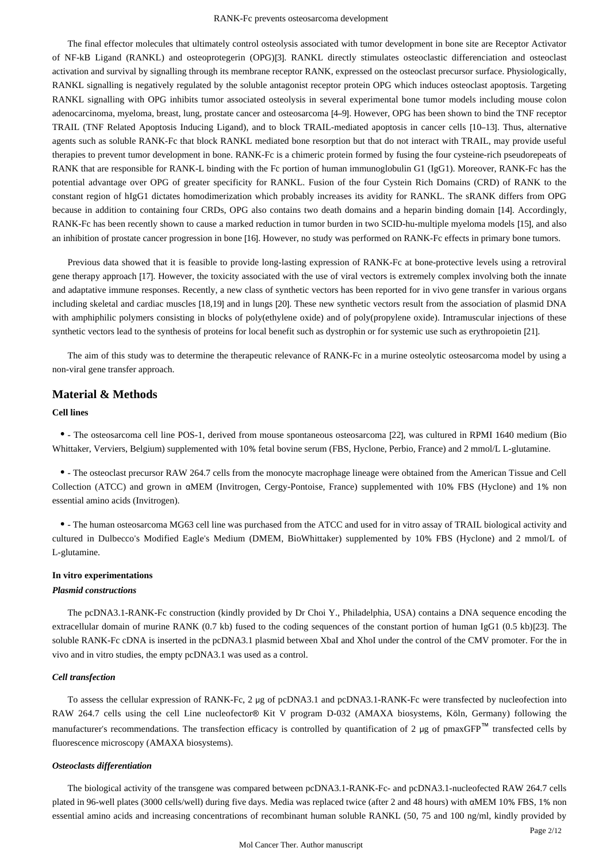The final effector molecules that ultimately control osteolysis associated with tumor development in bone site are Receptor Activator of NF-kB Ligand (RANKL) and osteoprotegerin (OPG)[3]. RANKL directly stimulates osteoclastic differenciation and osteoclast activation and survival by signalling through its membrane receptor RANK, expressed on the osteoclast precursor surface. Physiologically, RANKL signalling is negatively regulated by the soluble antagonist receptor protein OPG which induces osteoclast apoptosis. Targeting RANKL signalling with OPG inhibits tumor associated osteolysis in several experimental bone tumor models including mouse colon adenocarcinoma, myeloma, breast, lung, prostate cancer and osteosarcoma [4–9]. However, OPG has been shown to bind the TNF receptor TRAIL (TNF Related Apoptosis Inducing Ligand), and to block TRAIL-mediated apoptosis in cancer cells [10–13]. Thus, alternative agents such as soluble RANK-Fc that block RANKL mediated bone resorption but that do not interact with TRAIL, may provide useful therapies to prevent tumor development in bone. RANK-Fc is a chimeric protein formed by fusing the four cysteine-rich pseudorepeats of RANK that are responsible for RANK-L binding with the Fc portion of human immunoglobulin G1 (IgG1). Moreover, RANK-Fc has the potential advantage over OPG of greater specificity for RANKL. Fusion of the four Cystein Rich Domains (CRD) of RANK to the constant region of hIgG1 dictates homodimerization which probably increases its avidity for RANKL. The sRANK differs from OPG because in addition to containing four CRDs, OPG also contains two death domains and a heparin binding domain [14]. Accordingly, RANK-Fc has been recently shown to cause a marked reduction in tumor burden in two SCID-hu-multiple myeloma models [15], and also an inhibition of prostate cancer progression in bone [16]. However, no study was performed on RANK-Fc effects in primary bone tumors.

Previous data showed that it is feasible to provide long-lasting expression of RANK-Fc at bone-protective levels using a retroviral gene therapy approach [17]. However, the toxicity associated with the use of viral vectors is extremely complex involving both the innate and adaptative immune responses. Recently, a new class of synthetic vectors has been reported for in vivo gene transfer in various organs including skeletal and cardiac muscles [18,19] and in lungs [20]. These new synthetic vectors result from the association of plasmid DNA with amphiphilic polymers consisting in blocks of poly(ethylene oxide) and of poly(propylene oxide). Intramuscular injections of these synthetic vectors lead to the synthesis of proteins for local benefit such as dystrophin or for systemic use such as erythropoietin [21].

The aim of this study was to determine the therapeutic relevance of RANK-Fc in a murine osteolytic osteosarcoma model by using a non-viral gene transfer approach.

## **Material & Methods**

## **Cell lines**

• The osteosarcoma cell line POS-1, derived from mouse spontaneous osteosarcoma [22], was cultured in RPMI 1640 medium (Bio Whittaker, Verviers, Belgium) supplemented with 10% fetal bovine serum (FBS, Hyclone, Perbio, France) and 2 mmol/L L-glutamine.

- The osteoclast precursor RAW 264.7 cells from the monocyte macrophage lineage were obtained from the American Tissue and Cell Collection (ATCC) and grown in αMEM (Invitrogen, Cergy-Pontoise, France) supplemented with 10% FBS (Hyclone) and 1% non essential amino acids (Invitrogen).

• The human osteosarcoma MG63 cell line was purchased from the ATCC and used for in vitro assay of TRAIL biological activity and cultured in Dulbecco's Modified Eagle's Medium (DMEM, BioWhittaker) supplemented by 10% FBS (Hyclone) and 2 mmol/L of L-glutamine.

## **In vitro experimentations**

#### *Plasmid constructions*

The pcDNA3.1-RANK-Fc construction (kindly provided by Dr Choi Y., Philadelphia, USA) contains a DNA sequence encoding the extracellular domain of murine RANK (0.7 kb) fused to the coding sequences of the constant portion of human IgG1 (0.5 kb) [23]. The soluble RANK-Fc cDNA is inserted in the pcDNA3.1 plasmid between XbaI and XhoI under the control of the CMV promoter. For the in vivo and in vitro studies, the empty pcDNA3.1 was used as a control.

## *Cell transfection*

To assess the cellular expression of RANK-Fc, 2 μg of pcDNA3.1 and pcDNA3.1-RANK-Fc were transfected by nucleofection into RAW 264.7 cells using the cell Line nucleofector® Kit V program D-032 (AMAXA biosystems, Köln, Germany) following the manufacturer's recommendations. The transfection efficacy is controlled by quantification of 2 µg of pmaxGFP<sup>™</sup> transfected cells by fluorescence microscopy (AMAXA biosystems).

#### *Osteoclasts differentiation*

The biological activity of the transgene was compared between pcDNA3.1-RANK-Fc- and pcDNA3.1-nucleofected RAW 264.7 cells plated in 96-well plates (3000 cells/well) during five days. Media was replaced twice (after 2 and 48 hours) with α MEM 10% FBS, 1% non essential amino acids and increasing concentrations of recombinant human soluble RANKL (50, 75 and 100 ng/ml, kindly provided by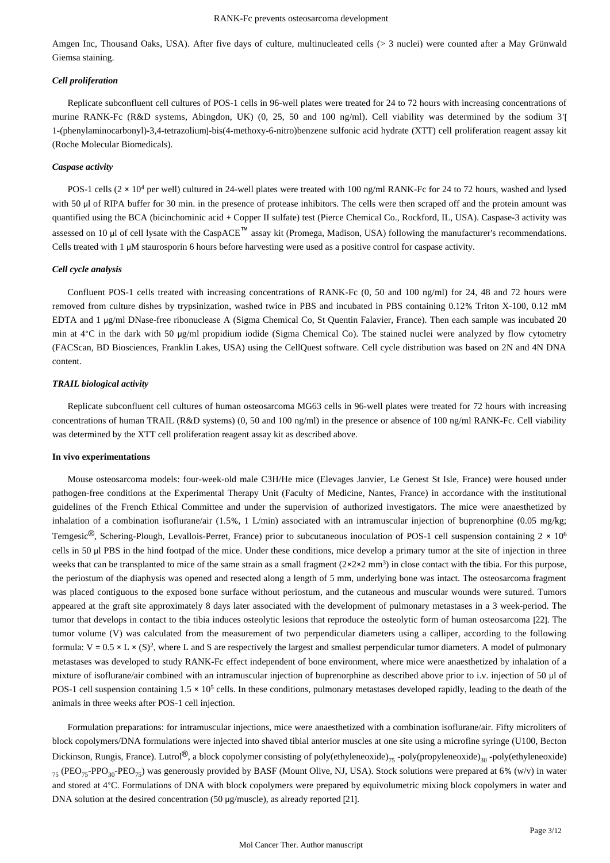Amgen Inc, Thousand Oaks, USA). After five days of culture, multinucleated cells (> 3 nuclei) were counted after a May Grünwald Giemsa staining.

#### *Cell proliferation*

Replicate subconfluent cell cultures of POS-1 cells in 96-well plates were treated for 24 to 72 hours with increasing concentrations of murine RANK-Fc (R&D systems, Abingdon, UK) (0, 25, 50 and 100 ng/ml). Cell viability was determined by the sodium 3<sup>'</sup>[ 1-(phenylaminocarbonyl)-3,4-tetrazolium]-bis(4-methoxy-6-nitro)benzene sulfonic acid hydrate (XTT) cell proliferation reagent assay kit (Roche Molecular Biomedicals).

#### *Caspase activity*

POS-1 cells  $(2 \times 10^4$  per well) cultured in 24-well plates were treated with 100 ng/ml RANK-Fc for 24 to 72 hours, washed and lysed with 50 μl of RIPA buffer for 30 min. in the presence of protease inhibitors. The cells were then scraped off and the protein amount was quantified using the BCA (bicinchominic acid + Copper II sulfate) test (Pierce Chemical Co., Rockford, IL, USA). Caspase-3 activity was assessed on 10 µ of cell lysate with the CaspACE<sup>™</sup> assay kit (Promega, Madison, USA) following the manufacturer's recommendations. Cells treated with 1 μM staurosporin 6 hours before harvesting were used as a positive control for caspase activity.

#### *Cell cycle analysis*

Confluent POS-1 cells treated with increasing concentrations of RANK-Fc (0, 50 and 100 ng/ml) for 24, 48 and 72 hours were removed from culture dishes by trypsinization, washed twice in PBS and incubated in PBS containing 0.12% Triton X-100, 0.12 mM EDTA and 1 μg/ml DNase-free ribonuclease A (Sigma Chemical Co, St Quentin Falavier, France). Then each sample was incubated 20 min at  $4^{\circ}$ C in the dark with 50 ug/ml propidium iodide (Sigma Chemical Co). The stained nuclei were analyzed by flow cytometry (FACScan, BD Biosciences, Franklin Lakes, USA) using the CellQuest software. Cell cycle distribution was based on 2N and 4N DNA content.

#### *TRAIL biological activity*

Replicate subconfluent cell cultures of human osteosarcoma MG63 cells in 96-well plates were treated for 72 hours with increasing concentrations of human TRAIL (R&D systems) (0, 50 and 100 ng/ml) in the presence or absence of 100 ng/ml RANK-Fc. Cell viability was determined by the XTT cell proliferation reagent assay kit as described above.

#### **In vivo experimentations**

Mouse osteosarcoma models: four-week-old male C3H/He mice (Elevages Janvier, Le Genest St Isle, France) were housed under pathogen-free conditions at the Experimental Therapy Unit (Faculty of Medicine, Nantes, France) in accordance with the institutional guidelines of the French Ethical Committee and under the supervision of authorized investigators. The mice were anaesthetized by inhalation of a combination isoflurane/air (1.5%, 1 L/min) associated with an intramuscular injection of buprenorphine (0.05 mg/kg; Temgesic<sup>®</sup>, Schering-Plough, Levallois-Perret, France) prior to subcutaneous inoculation of POS-1 cell suspension containing 2 × 10<sup>6</sup> cells in 50  $\mu$  PBS in the hind footpad of the mice. Under these conditions, mice develop a primary tumor at the site of injection in three weeks that can be transplanted to mice of the same strain as a small fragment  $(2 \times 2 \times 2 \text{ mm}^3)$  in close contact with the tibia. For this purpose, the periostum of the diaphysis was opened and resected along a length of 5 mm, underlying bone was intact. The osteosarcoma fragment was placed contiguous to the exposed bone surface without periostum, and the cutaneous and muscular wounds were sutured. Tumors appeared at the graft site approximately 8 days later associated with the development of pulmonary metastases in a 3 week-period. The tumor that develops in contact to the tibia induces osteolytic lesions that reproduce the osteolytic form of human osteosarcoma [22]. The tumor volume (V) was calculated from the measurement of two perpendicular diameters using a calliper, according to the following formula:  $V = 0.5 \times L \times (S)^2$ , where L and S are respectively the largest and smallest perpendicular tumor diameters. A model of pulmonary metastases was developed to study RANK-Fc effect independent of bone environment, where mice were anaesthetized by inhalation of a mixture of isoflurane/air combined with an intramuscular injection of buprenorphine as described above prior to i.v. injection of 50 μl of POS-1 cell suspension containing  $1.5 \times 10^5$  cells. In these conditions, pulmonary metastases developed rapidly, leading to the death of the animals in three weeks after POS-1 cell injection.

Formulation preparations: for intramuscular injections, mice were anaesthetized with a combination isoflurane/air. Fifty microliters of block copolymers/DNA formulations were injected into shaved tibial anterior muscles at one site using a microfine syringe (U100, Becton Dickinson, Rungis, France). Lutrol<sup>®</sup>, a block copolymer consisting of poly(ethyleneoxide)<sub>75</sub> -poly(propyleneoxide)<sub>30</sub> -poly(ethyleneoxide)  $_{75}$  (PEO<sub>75</sub>-PPO<sub>20</sub>-PEO<sub>75</sub>) was generously provided by BASF (Mount Olive, NJ, USA). Stock solutions were prepared at 6% (w/v) in water and stored at 4°C. Formulations of DNA with block copolymers were prepared by equivolumetric mixing block copolymers in water and DNA solution at the desired concentration (50  $\mu$ g/muscle), as already reported [21].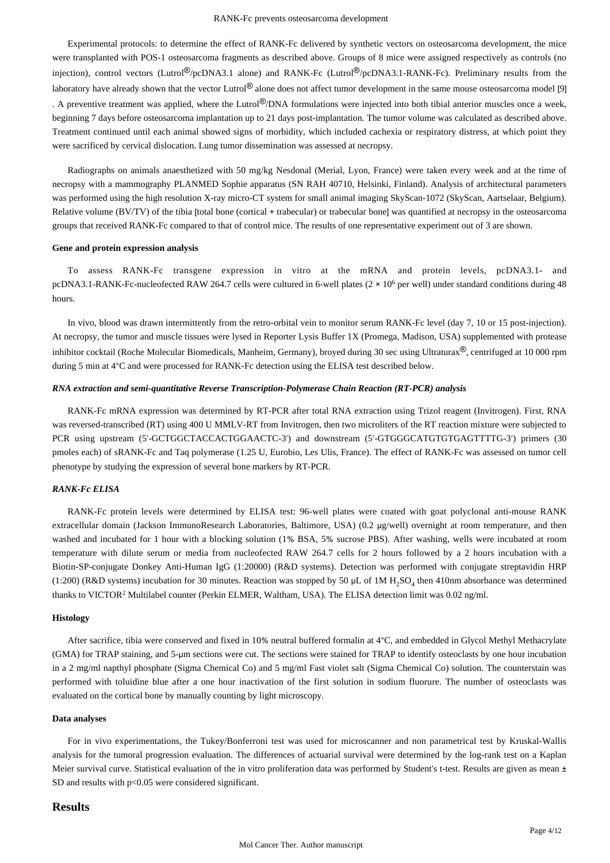Experimental protocols: to determine the effect of RANK-Fc delivered by synthetic vectors on osteosarcoma development, the mice were transplanted with POS-1 osteosarcoma fragments as described above. Groups of 8 mice were assigned respectively as controls (no injection), control vectors (Lutrol<sup>®</sup>/pcDNA3.1 alone) and RANK-Fc (Lutrol<sup>®</sup>/pcDNA3.1-RANK-Fc). Preliminary results from the laboratory have already shown that the vector Lutrol<sup>®</sup> alone does not affect tumor development in the same mouse osteosarcoma model [9] . A preventive treatment was applied, where the Lutrol®/DNA formulations were injected into both tibial anterior muscles once a week, beginning 7 days before osteosarcoma implantation up to 21 days post-implantation. The tumor volume was calculated as described above. Treatment continued until each animal showed signs of morbidity, which included cachexia or respiratory distress, at which point they were sacrificed by cervical dislocation. Lung tumor dissemination was assessed at necropsy.

Radiographs on animals anaesthetized with 50 mg/kg Nesdonal (Merial, Lyon, France) were taken every week and at the time of necropsy with a mammography PLANMED Sophie apparatus (SN RAH 40710, Helsinki, Finland). Analysis of architectural parameters was performed using the high resolution X-ray micro-CT system for small animal imaging SkyScan-1072 (SkyScan, Aartselaar, Belgium). Relative volume  $(BV/TV)$  of the tibia [total bone (cortical + trabecular) or trabecular bone] was quantified at necropsy in the osteosarcoma groups that received RANK-Fc compared to that of control mice. The results of one representative experiment out of 3 are shown.

#### **Gene and protein expression analysis**

To assess RANK-Fc transgene expression in vitro at the mRNA and protein levels, pcDNA3.1- and pcDNA3.1-RANK-Fc-nucleofected RAW 264.7 cells were cultured in 6-well plates ( $2 \times 10^6$  per well) under standard conditions during 48 hours.

In vivo, blood was drawn intermittently from the retro-orbital vein to monitor serum RANK-Fc level (day 7, 10 or 15 post-injection). At necropsy, the tumor and muscle tissues were lysed in Reporter Lysis Buffer 1X (Promega, Madison, USA) supplemented with protease inhibitor cocktail (Roche Molecular Biomedicals, Manheim, Germany), broyed during 30 sec using Ultraturax®, centrifuged at 10 000 rpm during 5 min at  $4^{\circ}$ C and were processed for RANK-Fc detection using the ELISA test described below.

## *RNA extraction and semi-quantitative Reverse Transcription-Polymerase Chain Reaction (RT-PCR) analysis*

RANK-Fc mRNA expression was determined by RT-PCR after total RNA extraction using Trizol reagent (Invitrogen). First, RNA was reversed-transcribed (RT) using 400 U MMLV-RT from Invitrogen, then two microliters of the RT reaction mixture were subjected to PCR using upstream (5'-GCTGGCTACCACTGGAACTC-3') and downstream (5'-GTGGGCATGTGTGAGTTTTG-3') primers (30 pmoles each) of sRANK-Fc and Taq polymerase (1.25 U, Eurobio, Les Ulis, France). The effect of RANK-Fc was assessed on tumor cell phenotype by studying the expression of several bone markers by RT-PCR.

## *RANK-Fc ELISA*

RANK-Fc protein levels were determined by ELISA test: 96-well plates were coated with goat polyclonal anti-mouse RANK extracellular domain (Jackson ImmunoResearch Laboratories, Baltimore, USA) (0.2 μg/well) overnight at room temperature, and then washed and incubated for 1 hour with a blocking solution (1% BSA, 5% sucrose PBS). After washing, wells were incubated at room temperature with dilute serum or media from nucleofected RAW 264.7 cells for 2 hours followed by a 2 hours incubation with a Biotin-SP-conjugate Donkey Anti-Human IgG (1:20000) (R&D systems). Detection was performed with conjugate streptavidin HRP (1:200) (R&D systems) incubation for 30 minutes. Reaction was stopped by 50  $\mu$ L of 1M H<sub>2</sub>SO<sub>4</sub> then 410nm absorbance was determined thanks to VICTOR<sup>2</sup> Multilabel counter (Perkin ELMER, Waltham, USA). The ELISA detection limit was 0.02 ng/ml.

#### **Histology**

After sacrifice, tibia were conserved and fixed in 10% neutral buffered formalin at  $4^{\circ}$ C, and embedded in Glycol Methyl Methacrylate (GMA) for TRAP staining, and 5-µm sections were cut. The sections were stained for TRAP to identify osteoclasts by one hour incubation in a 2 mg/ml napthyl phosphate (Sigma Chemical Co) and 5 mg/ml Fast violet salt (Sigma Chemical Co) solution. The counterstain was performed with toluidine blue after a one hour inactivation of the first solution in sodium fluorure. The number of osteoclasts was evaluated on the cortical bone by manually counting by light microscopy.

#### **Data analyses**

For in vivo experimentations, the Tukey/Bonferroni test was used for microscanner and non parametrical test by Kruskal-Wallis analysis for the tumoral progression evaluation. The differences of actuarial survival were determined by the log-rank test on a Kaplan Meier survival curve. Statistical evaluation of the in vitro proliferation data was performed by Student's t-test. Results are given as mean  $\pm$ SD and results with p<0.05 were considered significant.

## **Results**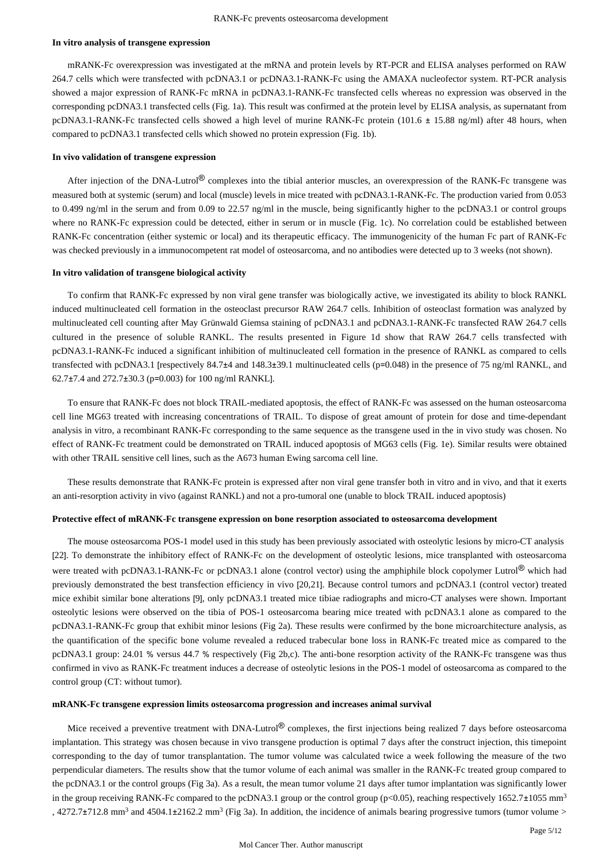#### **In vitro analysis of transgene expression**

mRANK-Fc overexpression was investigated at the mRNA and protein levels by RT-PCR and ELISA analyses performed on RAW 264.7 cells which were transfected with pcDNA3.1 or pcDNA3.1-RANK-Fc using the AMAXA nucleofector system. RT-PCR analysis showed a major expression of RANK-Fc mRNA in pcDNA3.1-RANK-Fc transfected cells whereas no expression was observed in the corresponding pcDNA3.1 transfected cells (Fig. 1a). This result was confirmed at the protein level by ELISA analysis, as supernatant from pcDNA3.1-RANK-Fc transfected cells showed a high level of murine RANK-Fc protein (101.6  $\pm$  15.88 ng/ml) after 48 hours, when compared to pcDNA3.1 transfected cells which showed no protein expression (Fig. 1b).

#### **In vivo validation of transgene expression**

After injection of the DNA-Lutrol<sup>®</sup> complexes into the tibial anterior muscles, an overexpression of the RANK-Fc transgene was measured both at systemic (serum) and local (muscle) levels in mice treated with pcDNA3.1-RANK-Fc. The production varied from 0.053 to 0.499 ng/ml in the serum and from 0.09 to 22.57 ng/ml in the muscle, being significantly higher to the pcDNA3.1 or control groups where no RANK-Fc expression could be detected, either in serum or in muscle (Fig. 1c). No correlation could be established between RANK-Fc concentration (either systemic or local) and its therapeutic efficacy. The immunogenicity of the human Fc part of RANK-Fc was checked previously in a immunocompetent rat model of osteosarcoma, and no antibodies were detected up to 3 weeks (not shown).

#### **In vitro validation of transgene biological activity**

To confirm that RANK-Fc expressed by non viral gene transfer was biologically active, we investigated its ability to block RANKL induced multinucleated cell formation in the osteoclast precursor RAW 264.7 cells. Inhibition of osteoclast formation was analyzed by multinucleated cell counting after May Grünwald Giemsa staining of pcDNA3.1 and pcDNA3.1-RANK-Fc transfected RAW 264.7 cells cultured in the presence of soluble RANKL. The results presented in Figure 1d show that RAW 264.7 cells transfected with pcDNA3.1-RANK-Fc induced a significant inhibition of multinucleated cell formation in the presence of RANKL as compared to cells transfected with pcDNA3.1 [respectively 84.7 $\pm$ 4 and 148.3 $\pm$ 39.1 multinucleated cells (p=0.048) in the presence of 75 ng/ml RANKL, and 62.7 $\pm$ 7.4 and 272.7 $\pm$ 30.3 (p=0.003) for 100 ng/ml RANKL].

To ensure that RANK-Fc does not block TRAIL-mediated apoptosis, the effect of RANK-Fc was assessed on the human osteosarcoma cell line MG63 treated with increasing concentrations of TRAIL. To dispose of great amount of protein for dose and time-dependant analysis in vitro, a recombinant RANK-Fc corresponding to the same sequence as the transgene used in the in vivo study was chosen. No effect of RANK-Fc treatment could be demonstrated on TRAIL induced apoptosis of MG63 cells (Fig. 1e). Similar results were obtained with other TRAIL sensitive cell lines, such as the A673 human Ewing sarcoma cell line.

These results demonstrate that RANK-Fc protein is expressed after non viral gene transfer both in vitro and in vivo, and that it exerts an anti-resorption activity in vivo (against RANKL) and not a pro-tumoral one (unable to block TRAIL induced apoptosis)

#### **Protective effect of mRANK-Fc transgene expression on bone resorption associated to osteosarcoma development**

The mouse osteosarcoma POS-1 model used in this study has been previously associated with osteolytic lesions by micro-CT analysis [22]. To demonstrate the inhibitory effect of RANK-Fc on the development of osteolytic lesions, mice transplanted with osteosarcoma were treated with pcDNA3.1-RANK-Fc or pcDNA3.1 alone (control vector) using the amphiphile block copolymer Lutrol<sup>®</sup> which had previously demonstrated the best transfection efficiency in vivo [20,21]. Because control tumors and pcDNA3.1 (control vector) treated mice exhibit similar bone alterations [9], only pcDNA3.1 treated mice tibiae radiographs and micro-CT analyses were shown. Important osteolytic lesions were observed on the tibia of POS-1 osteosarcoma bearing mice treated with pcDNA3.1 alone as compared to the pcDNA3.1-RANK-Fc group that exhibit minor lesions (Fig 2a). These results were confirmed by the bone microarchitecture analysis, as the quantification of the specific bone volume revealed a reduced trabecular bone loss in RANK-Fc treated mice as compared to the pcDNA3.1 group: 24.01 % versus 44.7 % respectively (Fig 2b,c). The anti-bone resorption activity of the RANK-Fc transgene was thus confirmed in vivo as RANK-Fc treatment induces a decrease of osteolytic lesions in the POS-1 model of osteosarcoma as compared to the control group (CT: without tumor).

#### **mRANK-Fc transgene expression limits osteosarcoma progression and increases animal survival**

Mice received a preventive treatment with DNA-Lutrol® complexes, the first injections being realized 7 days before osteosarcoma implantation. This strategy was chosen because in vivo transgene production is optimal 7 days after the construct injection, this timepoint corresponding to the day of tumor transplantation. The tumor volume was calculated twice a week following the measure of the two perpendicular diameters. The results show that the tumor volume of each animal was smaller in the RANK-Fc treated group compared to the pcDNA3.1 or the control groups (Fig 3a). As a result, the mean tumor volume 21 days after tumor implantation was significantly lower in the group receiving RANK-Fc compared to the pcDNA3.1 group or the control group (p<0.05), reaching respectively  $1652.7 \pm 1055$  mm<sup>3</sup> , 4272.7 $\pm$ 712.8 mm<sup>3</sup> and 4504.1 $\pm$ 2162.2 mm<sup>3</sup> (Fig 3a). In addition, the incidence of animals bearing progressive tumors (tumor volume >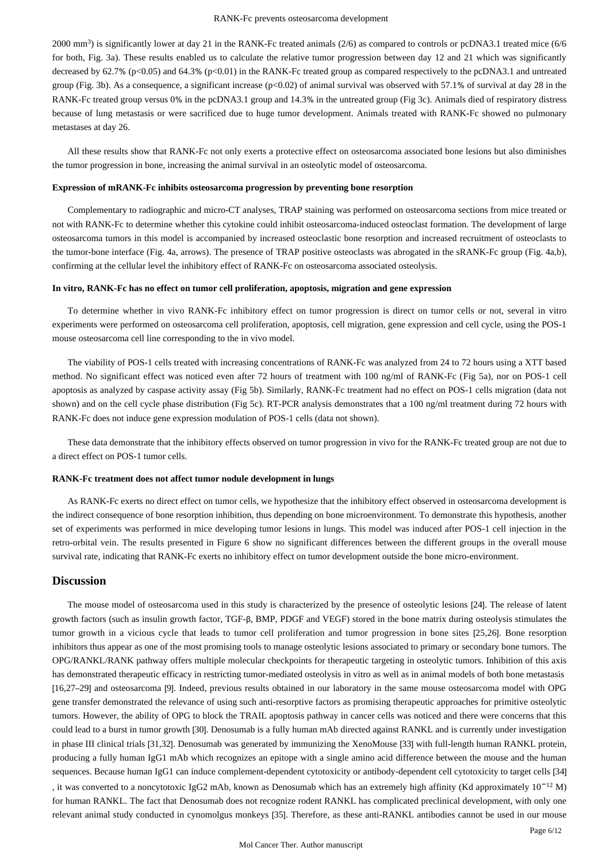2000 mm<sup>3</sup>) is significantly lower at day 21 in the RANK-Fc treated animals (2/6) as compared to controls or pcDNA3.1 treated mice (6/6 for both, Fig. 3a). These results enabled us to calculate the relative tumor progression between day 12 and 21 which was significantly decreased by  $62.7\%$  (p<0.05) and  $64.3\%$  (p<0.01) in the RANK-Fc treated group as compared respectively to the pcDNA3.1 and untreated group (Fig. 3b). As a consequence, a significant increase  $(p<0.02)$  of animal survival was observed with 57.1% of survival at day 28 in the RANK-Fc treated group versus  $0\%$  in the pcDNA3.1 group and 14.3% in the untreated group (Fig 3c). Animals died of respiratory distress because of lung metastasis or were sacrificed due to huge tumor development. Animals treated with RANK-Fc showed no pulmonary metastases at day 26.

All these results show that RANK-Fc not only exerts a protective effect on osteosarcoma associated bone lesions but also diminishes the tumor progression in bone, increasing the animal survival in an osteolytic model of osteosarcoma.

#### **Expression of mRANK-Fc inhibits osteosarcoma progression by preventing bone resorption**

Complementary to radiographic and micro-CT analyses, TRAP staining was performed on osteosarcoma sections from mice treated or not with RANK-Fc to determine whether this cytokine could inhibit osteosarcoma-induced osteoclast formation. The development of large osteosarcoma tumors in this model is accompanied by increased osteoclastic bone resorption and increased recruitment of osteoclasts to the tumor-bone interface (Fig. 4a, arrows). The presence of TRAP positive osteoclasts was abrogated in the sRANK-Fc group (Fig. 4a,b), confirming at the cellular level the inhibitory effect of RANK-Fc on osteosarcoma associated osteolysis.

#### **In vitro, RANK-Fc has no effect on tumor cell proliferation, apoptosis, migration and gene expression**

To determine whether in vivo RANK-Fc inhibitory effect on tumor progression is direct on tumor cells or not, several in vitro experiments were performed on osteosarcoma cell proliferation, apoptosis, cell migration, gene expression and cell cycle, using the POS-1 mouse osteosarcoma cell line corresponding to the in vivo model.

The viability of POS-1 cells treated with increasing concentrations of RANK-Fc was analyzed from 24 to 72 hours using a XTT based method. No significant effect was noticed even after 72 hours of treatment with 100 ng/ml of RANK-Fc (Fig 5a), nor on POS-1 cell apoptosis as analyzed by caspase activity assay (Fig 5b). Similarly, RANK-Fc treatment had no effect on POS-1 cells migration (data not shown) and on the cell cycle phase distribution (Fig 5c). RT-PCR analysis demonstrates that a 100 ng/ml treatment during 72 hours with RANK-Fc does not induce gene expression modulation of POS-1 cells (data not shown).

These data demonstrate that the inhibitory effects observed on tumor progression in vivo for the RANK-Fc treated group are not due to a direct effect on POS-1 tumor cells.

## **RANK-Fc treatment does not affect tumor nodule development in lungs**

As RANK-Fc exerts no direct effect on tumor cells, we hypothesize that the inhibitory effect observed in osteosarcoma development is the indirect consequence of bone resorption inhibition, thus depending on bone microenvironment. To demonstrate this hypothesis, another set of experiments was performed in mice developing tumor lesions in lungs. This model was induced after POS-1 cell injection in the retro-orbital vein. The results presented in Figure 6 show no significant differences between the different groups in the overall mouse survival rate, indicating that RANK-Fc exerts no inhibitory effect on tumor development outside the bone micro-environment.

## **Discussion**

The mouse model of osteosarcoma used in this study is characterized by the presence of osteolytic lesions [24]. The release of latent growth factors (such as insulin growth factor, TGF-β, BMP, PDGF and VEGF) stored in the bone matrix during osteolysis stimulates the tumor growth in a vicious cycle that leads to tumor cell proliferation and tumor progression in bone sites [25,26]. Bone resorption inhibitors thus appear as one of the most promising tools to manage osteolytic lesions associated to primary or secondary bone tumors. The OPG/RANKL/RANK pathway offers multiple molecular checkpoints for therapeutic targeting in osteolytic tumors. Inhibition of this axis has demonstrated therapeutic efficacy in restricting tumor-mediated osteolysis in vitro as well as in animal models of both bone metastasis [16,27-29] and osteosarcoma [9]. Indeed, previous results obtained in our laboratory in the same mouse osteosarcoma model with OPG gene transfer demonstrated the relevance of using such anti-resorptive factors as promising therapeutic approaches for primitive osteolytic tumors. However, the ability of OPG to block the TRAIL apoptosis pathway in cancer cells was noticed and there were concerns that this could lead to a burst in tumor growth [30]. Denosumab is a fully human mAb directed against RANKL and is currently under investigation in phase III clinical trials [31,32]. Denosumab was generated by immunizing the XenoMouse [33] with full-length human RANKL protein, producing a fully human IgG1 mAb which recognizes an epitope with a single amino acid difference between the mouse and the human sequences. Because human IgG1 can induce complement-dependent cytotoxicity or antibody-dependent cell cytotoxicity to target cells [34] , it was converted to a noncytotoxic IgG2 mAb, known as Denosumab which has an extremely high affinity (Kd approximately  $10^{-12}$  M) for human RANKL. The fact that Denosumab does not recognize rodent RANKL has complicated preclinical development, with only one relevant animal study conducted in cynomolgus monkeys [35]. Therefore, as these anti-RANKL antibodies cannot be used in our mouse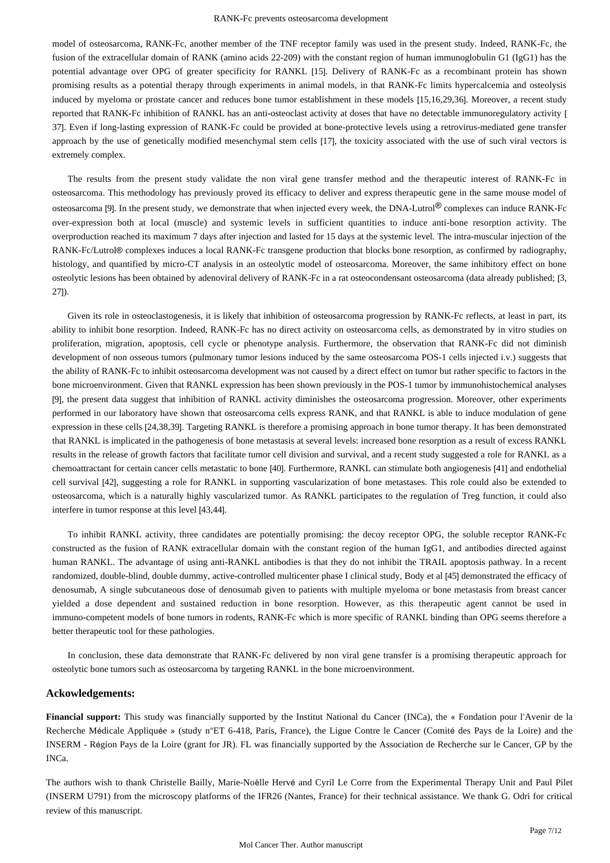model of osteosarcoma, RANK-Fc, another member of the TNF receptor family was used in the present study. Indeed, RANK-Fc, the fusion of the extracellular domain of RANK (amino acids 22-209) with the constant region of human immunoglobulin G1 (IgG1) has the potential advantage over OPG of greater specificity for RANKL [15]. Delivery of RANK-Fc as a recombinant protein has shown promising results as a potential therapy through experiments in animal models, in that RANK-Fc limits hypercalcemia and osteolysis induced by myeloma or prostate cancer and reduces bone tumor establishment in these models [15,16,29,36]. Moreover, a recent study reported that RANK-Fc inhibition of RANKL has an anti-osteoclast activity at doses that have no detectable immunoregulatory activity [ 37]. Even if long-lasting expression of RANK-Fc could be provided at bone-protective levels using a retrovirus-mediated gene transfer approach by the use of genetically modified mesenchymal stem cells [17], the toxicity associated with the use of such viral vectors is extremely complex.

The results from the present study validate the non viral gene transfer method and the therapeutic interest of RANK-Fc in osteosarcoma. This methodology has previously proved its efficacy to deliver and express therapeutic gene in the same mouse model of osteosarcoma [9]. In the present study, we demonstrate that when injected every week, the DNA-Lutrol  $^{\circledR}$  complexes can induce RANK-Fc over-expression both at local (muscle) and systemic levels in sufficient quantities to induce anti-bone resorption activity. The overproduction reached its maximum 7 days after injection and lasted for 15 days at the systemic level. The intra-muscular injection of the RANK-Fc/Lutrol® complexes induces a local RANK-Fc transgene production that blocks bone resorption, as confirmed by radiography, histology, and quantified by micro-CT analysis in an osteolytic model of osteosarcoma. Moreover, the same inhibitory effect on bone osteolytic lesions has been obtained by adenoviral delivery of RANK-Fc in a rat osteocondensant osteosarcoma (data already published; [3, 27]).

Given its role in osteoclastogenesis, it is likely that inhibition of osteosarcoma progression by RANK-Fc reflects, at least in part, its ability to inhibit bone resorption. Indeed, RANK-Fc has no direct activity on osteosarcoma cells, as demonstrated by in vitro studies on proliferation, migration, apoptosis, cell cycle or phenotype analysis. Furthermore, the observation that RANK-Fc did not diminish development of non osseous tumors (pulmonary tumor lesions induced by the same osteosarcoma POS-1 cells injected i.v.) suggests that the ability of RANK-Fc to inhibit osteosarcoma development was not caused by a direct effect on tumor but rather specific to factors in the bone microenvironment. Given that RANKL expression has been shown previously in the POS-1 tumor by immunohistochemical analyses [9], the present data suggest that inhibition of RANKL activity diminishes the osteosarcoma progression. Moreover, other experiments performed in our laboratory have shown that osteosarcoma cells express RANK, and that RANKL is able to induce modulation of gene expression in these cells [24,38,39]. Targeting RANKL is therefore a promising approach in bone tumor therapy. It has been demonstrated that RANKL is implicated in the pathogenesis of bone metastasis at several levels: increased bone resorption as a result of excess RANKL results in the release of growth factors that facilitate tumor cell division and survival, and a recent study suggested a role for RANKL as a chemoattractant for certain cancer cells metastatic to bone [40]. Furthermore, RANKL can stimulate both angiogenesis [41] and endothelial cell survival [42], suggesting a role for RANKL in supporting vascularization of bone metastases. This role could also be extended to osteosarcoma, which is a naturally highly vascularized tumor. As RANKL participates to the regulation of Treg function, it could also interfere in tumor response at this level [43,44].

To inhibit RANKL activity, three candidates are potentially promising: the decoy receptor OPG, the soluble receptor RANK-Fc constructed as the fusion of RANK extracellular domain with the constant region of the human IgG1, and antibodies directed against human RANKL. The advantage of using anti-RANKL antibodies is that they do not inhibit the TRAIL apoptosis pathway. In a recent randomized, double-blind, double dummy, active-controlled multicenter phase I clinical study, Body et al [45] demonstrated the efficacy of denosumab, A single subcutaneous dose of denosumab given to patients with multiple myeloma or bone metastasis from breast cancer yielded a dose dependent and sustained reduction in bone resorption. However, as this therapeutic agent cannot be used in immuno-competent models of bone tumors in rodents, RANK-Fc which is more specific of RANKL binding than OPG seems therefore a better therapeutic tool for these pathologies.

In conclusion, these data demonstrate that RANK-Fc delivered by non viral gene transfer is a promising therapeutic approach for osteolytic bone tumors such as osteosarcoma by targeting RANKL in the bone microenvironment.

## **Ackowledgements:**

**Financial support:** This study was financially supported by the Institut National du Cancer (INCa), the « Fondation pour l'Avenir de la Recherche Médicale Appliquée » (study n°ET 6-418, Paris, France), the Ligue Contre le Cancer (Comité des Pays de la Loire) and the INSERM - Région Pays de la Loire (grant for JR). FL was financially supported by the Association de Recherche sur le Cancer, GP by the INCa.

The authors wish to thank Christelle Bailly, Marie-Noëlle Hervé and Cyril Le Corre from the Experimental Therapy Unit and Paul Pilet (INSERM U791) from the microscopy platforms of the IFR26 (Nantes, France) for their technical assistance. We thank G. Odri for critical review of this manuscript.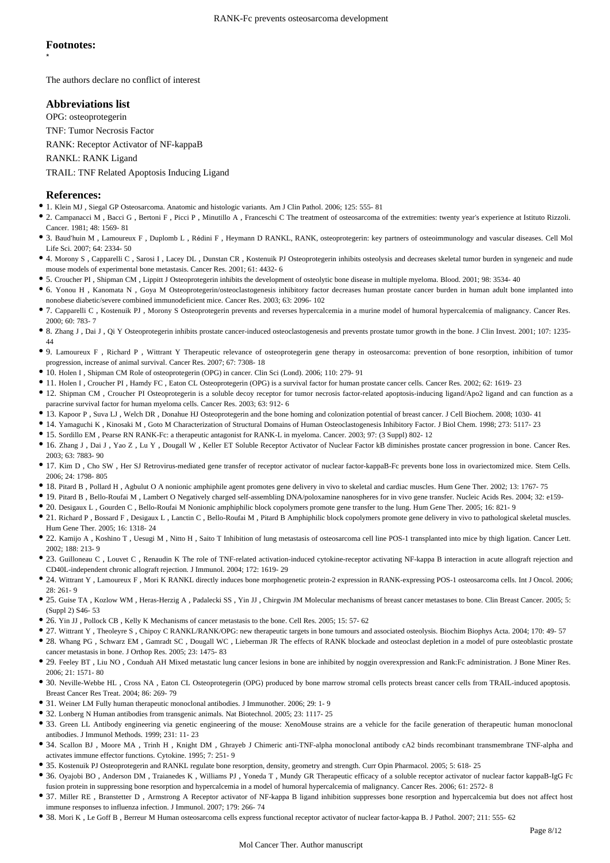\*

The authors declare no conflict of interest

## **Abbreviations list**

OPG: osteoprotegerin

TNF: Tumor Necrosis Factor

RANK: Receptor Activator of NF-kappaB

RANKL: RANK Ligand

TRAIL: TNF Related Apoptosis Inducing Ligand

## **References:**

- 1. Klein MJ , Siegal GP Osteosarcoma. Anatomic and histologic variants. Am J Clin Pathol. 2006; 125: 555- 81
- 2. Campanacci M , Bacci G , Bertoni F , Picci P , Minutillo A , Franceschi C The treatment of osteosarcoma of the extremities: twenty year s experience at Istituto Rizzoli ' . Cancer. 1981; 48: 1569- 81
- <sup>•</sup> 3. Baud'huin M, Lamoureux F, Duplomb L, Rédini F, Heymann D RANKL, RANK, osteoprotegerin: key partners of osteoimmunology and vascular diseases. Cell Mol Life Sci. 2007; 64: 2334- 50
- 4. Morony S , Capparelli C , Sarosi I , Lacey DL , Dunstan CR , Kostenuik PJ Osteoprotegerin inhibits osteolysis and decreases skeletal tumor burden in syngeneic and nude mouse models of experimental bone metastasis. Cancer Res. 2001; 61: 4432- 6
- 5. Croucher PI , Shipman CM , Lippitt J Osteoprotegerin inhibits the development of osteolytic bone disease in multiple myeloma. Blood. 2001; 98: 3534- 40
- 6. Yonou H , Kanomata N , Goya M Osteoprotegerin/osteoclastogenesis inhibitory factor decreases human prostate cancer burden in human adult bone implanted into nonobese diabetic/severe combined immunodeficient mice. Cancer Res. 2003; 63: 2096- 102
- 7. Capparelli C , Kostenuik PJ , Morony S Osteoprotegerin prevents and reverses hypercalcemia in a murine model of humoral hypercalcemia of malignancy. Cancer Res. 2000; 60: 783- 7
- 8. Zhang J , Dai J , Qi Y Osteoprotegerin inhibits prostate cancer-induced osteoclastogenesis and prevents prostate tumor growth in the bone. J Clin Invest. 2001; 107: 1235- 44
- 9. Lamoureux F , Richard P , Wittrant Y Therapeutic relevance of osteoprotegerin gene therapy in osteosarcoma: prevention of bone resorption, inhibition of tumor progression, increase of animal survival. Cancer Res. 2007; 67: 7308- 18
- 10. Holen I , Shipman CM Role of osteoprotegerin (OPG) in cancer. Clin Sci (Lond). 2006; 110: 279- 91
- 11. Holen I , Croucher PI , Hamdy FC , Eaton CL Osteoprotegerin (OPG) is a survival factor for human prostate cancer cells. Cancer Res. 2002; 62: 1619- 23
- 12. Shipman CM , Croucher PI Osteoprotegerin is a soluble decoy receptor for tumor necrosis factor-related apoptosis-inducing ligand/Apo2 ligand and can function as a paracrine survival factor for human myeloma cells. Cancer Res. 2003; 63: 912- 6
- 13. Kapoor P , Suva LJ , Welch DR , Donahue HJ Osteoprotegerin and the bone homing and colonization potential of breast cancer. J Cell Biochem. 2008; 1030- 41
- 14. Yamaguchi K , Kinosaki M , Goto M Characterization of Structural Domains of Human Osteoclastogenesis Inhibitory Factor. J Biol Chem. 1998; 273: 5117- 23
- 15. Sordillo EM , Pearse RN RANK-Fc: a therapeutic antagonist for RANK-L in myeloma. Cancer. 2003; 97: (3 Suppl) 802- 12
- 16. Zhang J , Dai J , Yao Z , Lu Y , Dougall W , Keller ET Soluble Receptor Activator of Nuclear Factor kB diminishes prostate cancer progression in bone. Cancer Res. 2003; 63: 7883- 90
- 17. Kim D , Cho SW , Her SJ Retrovirus-mediated gene transfer of receptor activator of nuclear factor-kappaB-Fc prevents bone loss in ovariectomized mice. Stem Cells. 2006; 24: 1798- 805
- 18. Pitard B , Pollard H , Agbulut O A nonionic amphiphile agent promotes gene delivery in vivo to skeletal and cardiac muscles. Hum Gene Ther. 2002; 13: 1767- 75
- 19. Pitard B , Bello-Roufai M , Lambert O Negatively charged self-assembling DNA/poloxamine nanospheres for in vivo gene transfer. Nucleic Acids Res. 2004; 32: e159-
- 20. Desigaux L , Gourden C , Bello-Roufai M Nonionic amphiphilic block copolymers promote gene transfer to the lung. Hum Gene Ther. 2005; 16: 821- 9
- 21. Richard P , Bossard F , Desigaux L , Lanctin C , Bello-Roufai M , Pitard B Amphiphilic block copolymers promote gene delivery in vivo to pathological skeletal muscles. Hum Gene Ther. 2005; 16: 1318- 24
- 22. Kamijo A , Koshino T , Uesugi M , Nitto H , Saito T Inhibition of lung metastasis of osteosarcoma cell line POS-1 transplanted into mice by thigh ligation. Cancer Lett. 2002; 188: 213- 9
- 23. Guilloneau C , Louvet C , Renaudin K The role of TNF-related activation-induced cytokine-receptor activating NF-kappa B interaction in acute allograft rejection and CD40L-independent chronic allograft rejection. J Immunol. 2004; 172: 1619- 29
- 24. Wittrant Y , Lamoureux F , Mori K RANKL directly induces bone morphogenetic protein-2 expression in RANK-expressing POS-1 osteosarcoma cells. Int J Oncol. 2006; 28: 261- 9
- 25. Guise TA , Kozlow WM , Heras-Herzig A , Padalecki SS , Yin JJ , Chirgwin JM Molecular mechanisms of breast cancer metastases to bone. Clin Breast Cancer. 2005; 5: (Suppl 2) S46- 53
- 26. Yin JJ , Pollock CB , Kelly K Mechanisms of cancer metastasis to the bone. Cell Res. 2005; 15: 57- 62
- 27. Wittrant Y , Theoleyre S , Chipoy C RANKL/RANK/OPG: new therapeutic targets in bone tumours and associated osteolysis. Biochim Biophys Acta. 2004; 170: 49- 57
- 28. Whang PG, Schwarz EM, Gamradt SC, Dougall WC, Lieberman JR The effects of RANK blockade and osteoclast depletion in a model of pure osteoblastic prostate cancer metastasis in bone. J Orthop Res. 2005; 23: 1475- 83
- 29. Feeley BT , Liu NO , Conduah AH Mixed metastatic lung cancer lesions in bone are inhibited by noggin overexpression and Rank:Fc administration. J Bone Miner Res. 2006; 21: 1571- 80
- 30. Neville-Webbe HL , Cross NA , Eaton CL Osteoprotegerin (OPG) produced by bone marrow stromal cells protects breast cancer cells from TRAIL-induced apoptosis. Breast Cancer Res Treat. 2004; 86: 269- 79
- 31. Weiner LM Fully human therapeutic monoclonal antibodies. J Immunother. 2006; 29: 1- 9
- 32. Lonberg N Human antibodies from transgenic animals. Nat Biotechnol. 2005; 23: 1117- 25
- 33. Green LL Antibody engineering via genetic engineering of the mouse: XenoMouse strains are a vehicle for the facile generation of therapeutic human monoclonal antibodies. J Immunol Methods. 1999; 231: 11- 23
- 34. Scallon BJ , Moore MA , Trinh H , Knight DM , Ghrayeb J Chimeric anti-TNF-alpha monoclonal antibody cA2 binds recombinant transmembrane TNF-alpha and activates immune effector functions. Cytokine. 1995; 7: 251- 9
- 35. Kostenuik PJ Osteoprotegerin and RANKL regulate bone resorption, density, geometry and strength. Curr Opin Pharmacol. 2005; 5: 618- 25
- 36. Oyajobi BO , Anderson DM , Traianedes K , Williams PJ , Yoneda T , Mundy GR Therapeutic efficacy of a soluble receptor activator of nuclear factor kappaB-IgG Fc fusion protein in suppressing bone resorption and hypercalcemia in a model of humoral hypercalcemia of malignancy. Cancer Res. 2006; 61: 2572- 8
- 37. Miller RE , Branstetter D , Armstrong A Receptor activator of NF-kappa B ligand inhibition suppresses bone resorption and hypercalcemia but does not affect host immune responses to influenza infection. J Immunol. 2007; 179: 266- 74
- 38. Mori K , Le Goff B , Berreur M Human osteosarcoma cells express functional receptor activator of nuclear factor-kappa B. J Pathol. 2007; 211: 555- 62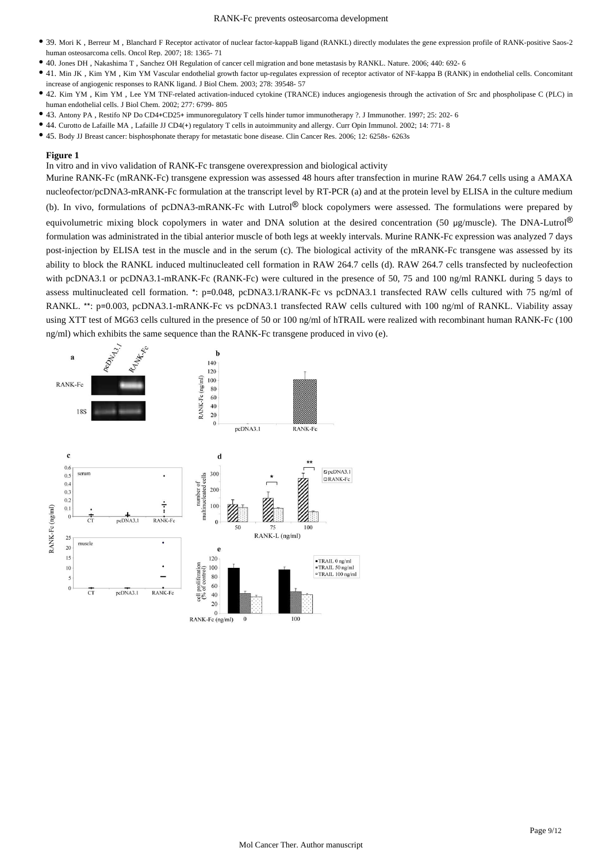- 39. Mori K , Berreur M , Blanchard F Receptor activator of nuclear factor-kappaB ligand (RANKL) directly modulates the gene expression profile of RANK-positive Saos-2 human osteosarcoma cells. Oncol Rep. 2007; 18: 1365- 71
- 40. Jones DH , Nakashima T , Sanchez OH Regulation of cancer cell migration and bone metastasis by RANKL. Nature. 2006; 440: 692- 6
- 41. Min JK , Kim YM , Kim YM Vascular endothelial growth factor up-regulates expression of receptor activator of NF-kappa B (RANK) in endothelial cells. Concomitant increase of angiogenic responses to RANK ligand. J Biol Chem. 2003; 278: 39548- 57
- 42. Kim YM , Kim YM , Lee YM TNF-related activation-induced cytokine (TRANCE) induces angiogenesis through the activation of Src and phospholipase C (PLC) in human endothelial cells. J Biol Chem. 2002; 277: 6799- 805
- 43. Antony PA, Restifo NP Do CD4+CD25+ immunoregulatory T cells hinder tumor immunotherapy ?. J Immunother. 1997; 25: 202- 6
- <sup>•</sup> 44. Curotto de Lafaille MA, Lafaille JJ CD4(+) regulatory T cells in autoimmunity and allergy. Curr Opin Immunol. 2002; 14: 771- 8
- 45. Body JJ Breast cancer: bisphosphonate therapy for metastatic bone disease. Clin Cancer Res. 2006; 12: 6258s- 6263s

In vitro and in vivo validation of RANK-Fc transgene overexpression and biological activity

Murine RANK-Fc (mRANK-Fc) transgene expression was assessed 48 hours after transfection in murine RAW 264.7 cells using a AMAXA nucleofector/pcDNA3-mRANK-Fc formulation at the transcript level by RT-PCR (a) and at the protein level by ELISA in the culture medium (b). In vivo, formulations of pcDNA3-mRANK-Fc with Lutrol<sup>®</sup> block copolymers were assessed. The formulations were prepared by equivolumetric mixing block copolymers in water and DNA solution at the desired concentration (50  $\mu$ g/muscle). The DNA-Lutrol<sup>®</sup> formulation was administrated in the tibial anterior muscle of both legs at weekly intervals. Murine RANK-Fc expression was analyzed 7 days post-injection by ELISA test in the muscle and in the serum (c). The biological activity of the mRANK-Fc transgene was assessed by its ability to block the RANKL induced multinucleated cell formation in RAW 264.7 cells (d). RAW 264.7 cells transfected by nucleofection with pcDNA3.1 or pcDNA3.1-mRANK-Fc (RANK-Fc) were cultured in the presence of 50, 75 and 100 ng/ml RANKL during 5 days to assess multinucleated cell formation. \*: p=0.048, pcDNA3.1/RANK-Fc vs pcDNA3.1 transfected RAW cells cultured with 75 ng/ml of RANKL.  $**$ : p=0.003, pcDNA3.1-mRANK-Fc vs pcDNA3.1 transfected RAW cells cultured with 100 ng/ml of RANKL. Viability assay using XTT test of MG63 cells cultured in the presence of 50 or 100 ng/ml of hTRAIL were realized with recombinant human RANK-Fc (100  $ng/ml$ ) which exhibits the same sequence than the RANK-Fc transgene produced in vivo (e).

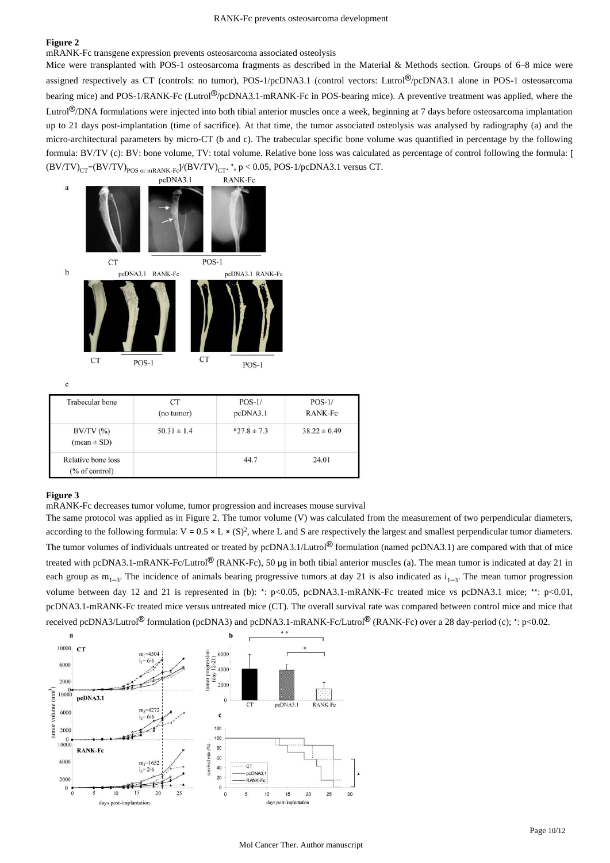mRANK-Fc transgene expression prevents osteosarcoma associated osteolysis

Mice were transplanted with POS-1 osteosarcoma fragments as described in the Material & Methods section. Groups of 6-8 mice were assigned respectively as CT (controls: no tumor), POS-1/pcDNA3.1 (control vectors: Lutrol®/pcDNA3.1 alone in POS-1 osteosarcoma bearing mice) and POS-1/RANK-Fc (Lutrol®/pcDNA3.1-mRANK-Fc in POS-bearing mice). A preventive treatment was applied, where the Lutrol<sup>®</sup>/DNA formulations were injected into both tibial anterior muscles once a week, beginning at 7 days before osteosarcoma implantation up to 21 days post-implantation (time of sacrifice). At that time, the tumor associated osteolysis was analysed by radiography (a) and the micro-architectural parameters by micro-CT (b and c). The trabecular specific bone volume was quantified in percentage by the following formula: BV/TV (c): BV: bone volume, TV: total volume. Relative bone loss was calculated as percentage of control following the formula: [  $(BV/TV)_{CT}$  (BV/TV)  $_{POS\text{ or }mRANK-Fe}$  $/(BV/TV)_{CT}$ , \*, p < 0.05, POS-1/pcDNA3.1 versus CT.



 $\mathbf{c}$ 

| Trabecular bone                         | CТ<br>(no tumor) | $POS-1/$<br>pcDNA3.1 | $POS-1/$<br>RANK-Fc |
|-----------------------------------------|------------------|----------------------|---------------------|
| $BV/TV$ $(\%)$<br>$(mean \pm SD)$       | $50.31 \pm 1.4$  | $*27.8 \pm 7.3$      | $38.22 \pm 0.49$    |
| Relative bone loss<br>$(\%$ of control) |                  | 44.7                 | 24.01               |

#### **Figure 3**

mRANK-Fc decreases tumor volume, tumor progression and increases mouse survival

The same protocol was applied as in Figure 2. The tumor volume (V) was calculated from the measurement of two perpendicular diameters, according to the following formula:  $V = 0.5 \times L \times (S)^2$ , where L and S are respectively the largest and smallest perpendicular tumor diameters. The tumor volumes of individuals untreated or treated by pcDNA3.1/Lutrol<sup>®</sup> formulation (named pcDNA3.1) are compared with that of mice treated with pcDNA3.1-mRANK-Fc/Lutrol<sup>®</sup> (RANK-Fc), 50 µg in both tibial anterior muscles (a). The mean tumor is indicated at day 21 in each group as  $m_{1-3}$ . The incidence of animals bearing progressive tumors at day 21 is also indicated as  $i_{1-3}$ . The mean tumor progression volume between day 12 and 21 is represented in (b): \*: p<0.05, pcDNA3.1-mRANK-Fc treated mice vs pcDNA3.1 mice; \*\*: p<0.01, pcDNA3.1-mRANK-Fc treated mice versus untreated mice (CT). The overall survival rate was compared between control mice and mice that received pcDNA3/Lutrol<sup>®</sup> formulation (pcDNA3) and pcDNA3.1-mRANK-Fc/Lutrol<sup>®</sup> (RANK-Fc) over a 28 day-period (c); \*: p<0.02.

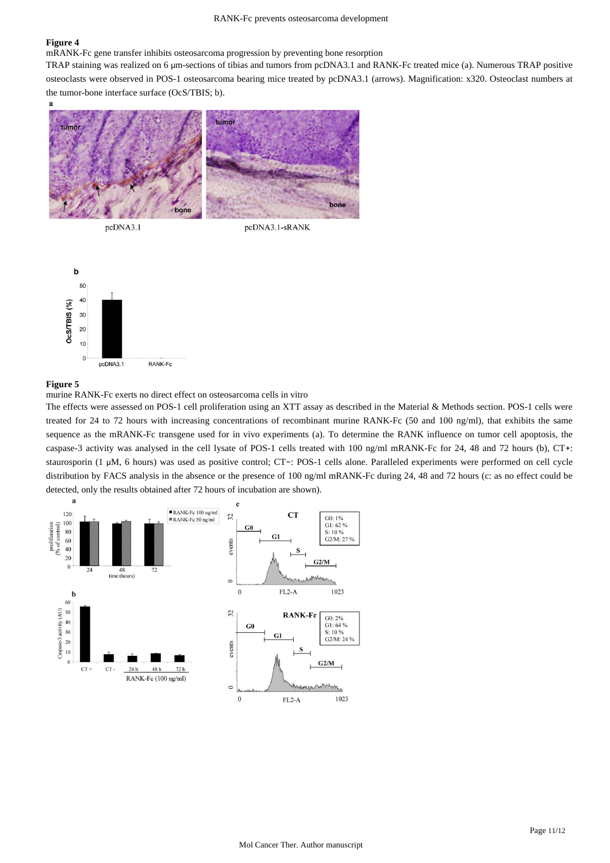mRANK-Fc gene transfer inhibits osteosarcoma progression by preventing bone resorption

TRAP staining was realized on 6 µm-sections of tibias and tumors from pcDNA3.1 and RANK-Fc treated mice (a). Numerous TRAP positive osteoclasts were observed in POS-1 osteosarcoma bearing mice treated by pcDNA3.1 (arrows). Magnification: x320. Osteoclast numbers at the tumor-bone interface surface (OcS/TBIS; b).



pcDNA3.1

pcDNA3.1-sRANK



#### **Figure 5**

murine RANK-Fc exerts no direct effect on osteosarcoma cells in vitro

The effects were assessed on POS-1 cell proliferation using an XTT assay as described in the Material & Methods section. POS-1 cells were treated for 24 to 72 hours with increasing concentrations of recombinant murine RANK-Fc (50 and 100 ng/ml), that exhibits the same sequence as the mRANK-Fc transgene used for in vivo experiments (a). To determine the RANK influence on tumor cell apoptosis, the caspase-3 activity was analysed in the cell lysate of POS-1 cells treated with 100 ng/ml mRANK-Fc for 24, 48 and 72 hours (b), CT+: staurosporin (1 µM, 6 hours) was used as positive control; CT-: POS-1 cells alone. Paralleled experiments were performed on cell cycle distribution by FACS analysis in the absence or the presence of 100 ng/ml mRANK-Fc during 24, 48 and 72 hours (c: as no effect could be detected, only the results obtained after 72 hours of incubation are shown).